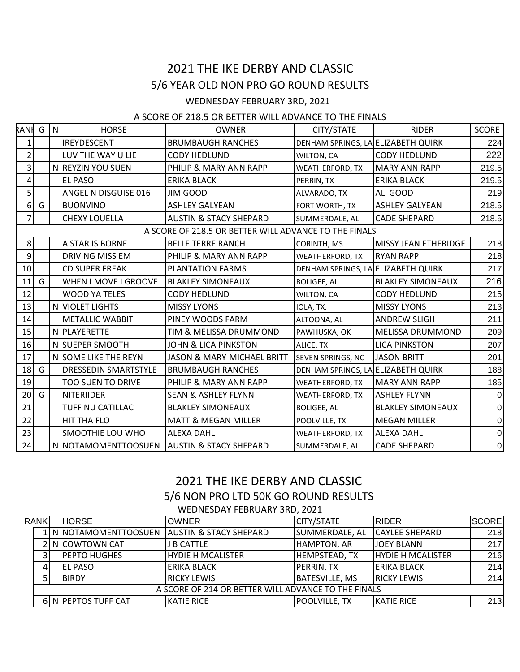## 2021 THE IKE DERBY AND CLASSIC 5/6 YEAR OLD NON PRO GO ROUND RESULTS

## WEDNESDAY FEBRUARY 3RD, 2021

## A SCORE OF 218.5 OR BETTER WILL ADVANCE TO THE FINALS

| RANIG                                                 |   | N | <b>HORSE</b>                | <b>OWNER</b>                      | CITY/STATE                         | <b>RIDER</b>             | <b>SCORE</b>   |
|-------------------------------------------------------|---|---|-----------------------------|-----------------------------------|------------------------------------|--------------------------|----------------|
| 1                                                     |   |   | <b>IREYDESCENT</b>          | <b>BRUMBAUGH RANCHES</b>          | DENHAM SPRINGS, LA ELIZABETH QUIRK |                          | 224            |
| $\overline{2}$                                        |   |   | LUV THE WAY U LIE           | <b>CODY HEDLUND</b>               | WILTON, CA                         | <b>CODY HEDLUND</b>      | 222            |
| 3                                                     |   |   | N REYZIN YOU SUEN           | PHILIP & MARY ANN RAPP            | <b>WEATHERFORD, TX</b>             | <b>MARY ANN RAPP</b>     | 219.5          |
| 4                                                     |   |   | <b>EL PASO</b>              | <b>ERIKA BLACK</b>                | PERRIN, TX                         | <b>ERIKA BLACK</b>       | 219.5          |
| $\overline{5}$                                        |   |   | ANGEL N DISGUISE 016        | <b>JIM GOOD</b>                   | ALVARADO, TX                       | ALI GOOD                 | 219            |
| $6 \mid$                                              | G |   | <b>BUONVINO</b>             | <b>ASHLEY GALYEAN</b>             | FORT WORTH, TX                     | <b>ASHLEY GALYEAN</b>    | 218.5          |
| 7                                                     |   |   | <b>CHEXY LOUELLA</b>        | <b>AUSTIN &amp; STACY SHEPARD</b> | SUMMERDALE, AL                     | <b>CADE SHEPARD</b>      | 218.5          |
| A SCORE OF 218.5 OR BETTER WILL ADVANCE TO THE FINALS |   |   |                             |                                   |                                    |                          |                |
| 8 <sup>1</sup>                                        |   |   | A STAR IS BORNE             | <b>BELLE TERRE RANCH</b>          | CORINTH, MS                        | MISSY JEAN ETHERIDGE     | 218            |
| 9                                                     |   |   | DRIVING MISS EM             | PHILIP & MARY ANN RAPP            | <b>WEATHERFORD, TX</b>             | <b>RYAN RAPP</b>         | 218            |
| 10                                                    |   |   | <b>CD SUPER FREAK</b>       | <b>PLANTATION FARMS</b>           | DENHAM SPRINGS, LA ELIZABETH QUIRK |                          | 217            |
| 11                                                    | G |   | WHEN I MOVE I GROOVE        | <b>BLAKLEY SIMONEAUX</b>          | <b>BOLIGEE, AL</b>                 | <b>BLAKLEY SIMONEAUX</b> | 216            |
| 12                                                    |   |   | <b>WOOD YA TELES</b>        | <b>CODY HEDLUND</b>               | WILTON, CA                         | <b>CODY HEDLUND</b>      | 215            |
| 13                                                    |   |   | N VIOLET LIGHTS             | <b>MISSY LYONS</b>                | IOLA, TX.                          | <b>MISSY LYONS</b>       | 213            |
| 14                                                    |   |   | <b>METALLIC WABBIT</b>      | PINEY WOODS FARM                  | ALTOONA, AL                        | <b>ANDREW SLIGH</b>      | 211            |
| 15                                                    |   |   | N PLAYERETTE                | TIM & MELISSA DRUMMOND            | PAWHUSKA, OK                       | <b>MELISSA DRUMMOND</b>  | 209            |
| 16                                                    |   |   | N SUEPER SMOOTH             | JOHN & LICA PINKSTON              | ALICE, TX                          | <b>LICA PINKSTON</b>     | 207            |
| 17                                                    |   |   | N SOME LIKE THE REYN        | JASON & MARY-MICHAEL BRITT        | SEVEN SPRINGS, NC                  | <b>JASON BRITT</b>       | 201            |
| 18                                                    | G |   | <b>DRESSEDIN SMARTSTYLE</b> | <b>BRUMBAUGH RANCHES</b>          | DENHAM SPRINGS, LA ELIZABETH QUIRK |                          | 188            |
| 19                                                    |   |   | <b>TOO SUEN TO DRIVE</b>    | PHILIP & MARY ANN RAPP            | <b>WEATHERFORD, TX</b>             | <b>MARY ANN RAPP</b>     | 185            |
| 20                                                    | G |   | <b>NITERIIDER</b>           | <b>SEAN &amp; ASHLEY FLYNN</b>    | <b>WEATHERFORD, TX</b>             | <b>ASHLEY FLYNN</b>      | $\overline{0}$ |
| 21                                                    |   |   | TUFF NU CATILLAC            | <b>BLAKLEY SIMONEAUX</b>          | <b>BOLIGEE, AL</b>                 | <b>BLAKLEY SIMONEAUX</b> | $\overline{0}$ |
| 22                                                    |   |   | <b>HIT THA FLO</b>          | <b>MATT &amp; MEGAN MILLER</b>    | POOLVILLE, TX                      | <b>MEGAN MILLER</b>      | $\overline{0}$ |
| 23                                                    |   |   | SMOOTHIE LOU WHO            | <b>ALEXA DAHL</b>                 | <b>WEATHERFORD, TX</b>             | <b>ALEXA DAHL</b>        | $\overline{0}$ |
| 24                                                    |   |   | N NOTAMOMENTTOOSUEN         | <b>AUSTIN &amp; STACY SHEPARD</b> | SUMMERDALE, AL                     | <b>CADE SHEPARD</b>      | $\overline{0}$ |

## 2021 THE IKE DERBY AND CLASSIC 5/6 NON PRO LTD 50K GO ROUND RESULTS WEDNESDAY FEBRUARY 3RD, 2021

| <b>RANK</b> |                                                     |  | <b>HORSE</b>                                 | <b>OWNER</b>             | <b>CITY/STATE</b>     | <b>IRIDER</b>            | <b>SCORE</b> |
|-------------|-----------------------------------------------------|--|----------------------------------------------|--------------------------|-----------------------|--------------------------|--------------|
|             |                                                     |  | 1 N NOTAMOMENTTOOSUEN AUSTIN & STACY SHEPARD |                          | SUMMERDALE, AL        | <b>CAYLEE SHEPARD</b>    | 218          |
|             |                                                     |  | 2 N COWTOWN CAT                              | J B CATTLE               | HAMPTON, AR           | <b>JOEY BLANN</b>        | 217          |
|             |                                                     |  | <b>IPEPTO HUGHES</b>                         | <b>HYDIE H MCALISTER</b> | <b>HEMPSTEAD, TX</b>  | <b>HYDIE H MCALISTER</b> | 216          |
|             | 4                                                   |  | <b>EL PASO</b>                               | ERIKA BLACK              | PERRIN, TX            | ERIKA BLACK              | 214          |
|             |                                                     |  | <b>BIRDY</b>                                 | <b>IRICKY LEWIS</b>      | <b>BATESVILLE, MS</b> | <b>IRICKY LEWIS</b>      | 214          |
|             | A SCORE OF 214 OR BETTER WILL ADVANCE TO THE FINALS |  |                                              |                          |                       |                          |              |
|             |                                                     |  | 6 N PEPTOS TUFF CAT                          | <b>KATIE RICE</b>        | <b>POOLVILLE, TX</b>  | KATIE RICE               | 213          |